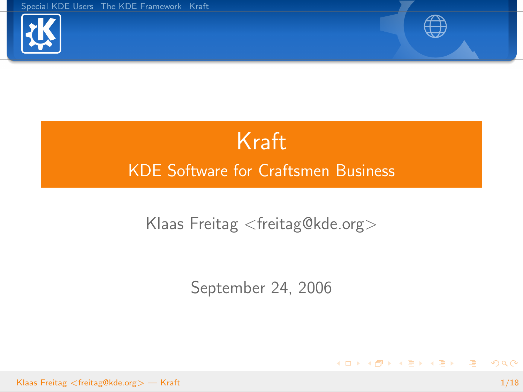



<span id="page-0-0"></span>イロン イ母ン イモン イモンニ 毛

# Kraft KDE Software for Craftsmen Business

#### Klaas Freitag <freitag@kde.org>

September 24, 2006

Klaas Freitag <freitag@kde.org> — [Kraft](#page-17-0) 1/18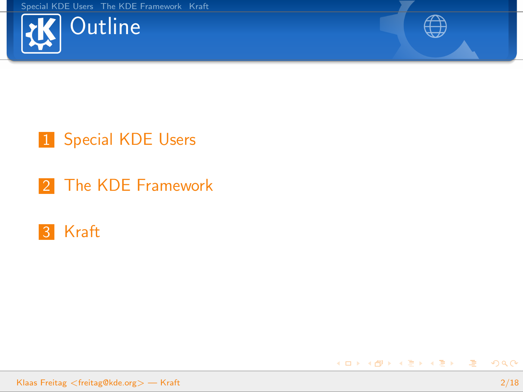



K ロ ▶ K @ ▶ K 결 ▶ K 결 ▶ ○ 결

# 1 [Special KDE Users](#page-2-0)

2 [The KDE Framework](#page-7-0)

## 3 [Kraft](#page-10-0)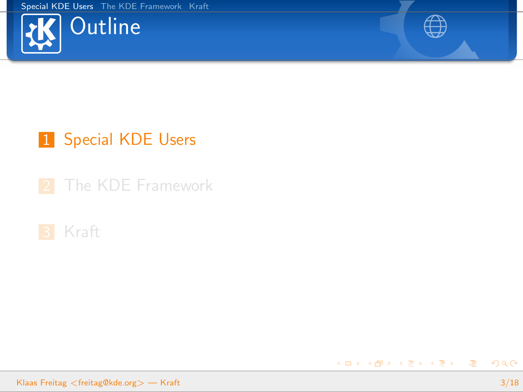



# 1 [Special KDE Users](#page-2-0)

2 [The KDE Framework](#page-7-0)



<span id="page-2-0"></span>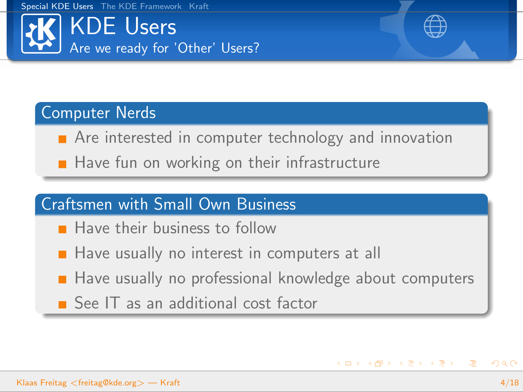



K ロ ▶ K @ ▶ K 할 ▶ K 할 ▶ .. 할

#### Computer Nerds

- **Are interested in computer technology and innovation**
- $\blacksquare$  Have fun on working on their infrastructure

#### Craftsmen with Small Own Business

- **Have their business to follow**
- $\blacksquare$  Have usually no interest in computers at all
- Have usually no professional knowledge about computers
- See IT as an additional cost factor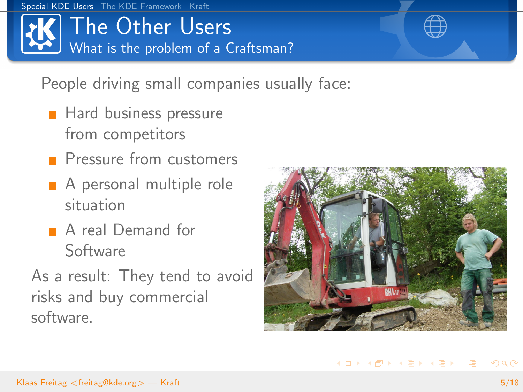# The Other Users What is the problem of a Craftsman?

## People driving small companies usually face:

- **Hard business pressure** from competitors
- **Pressure from customers**
- A personal multiple role situation
- A real Demand for Software
- As a result: They tend to avoid risks and buy commercial software.

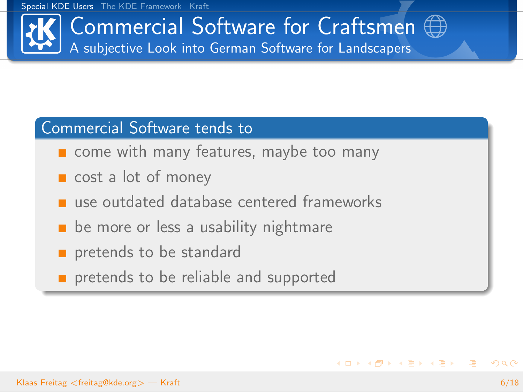# Commercial Software for Craftsmen A subjective Look into German Software for Landscapers

#### Commercial Software tends to

- **n** come with many features, maybe too many
- cost a lot of money
- use outdated database centered frameworks
- be more or less a usability nightmare
- pretends to be standard
- pretends to be reliable and supported

イロト イ部 トイをトイをトー 老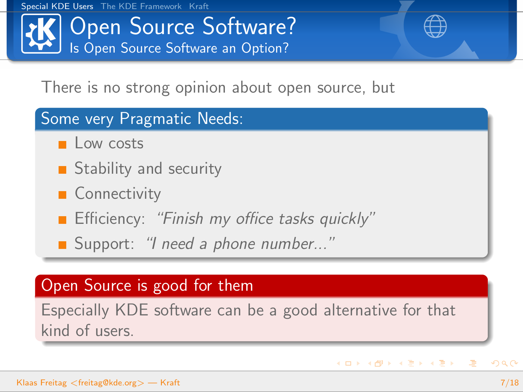# Open Source Software? Is Open Source Software an Option?

## There is no strong opinion about open source, but

#### Some very Pragmatic Needs:

- $\Box$  Low costs
- **Stability and security**
- **Connectivity**
- **Efficiency:** "Finish my office tasks quickly"
- Support: "I need a phone number..."

## Open Source is good for them

Especially KDE software can be a good alternative for that kind of users.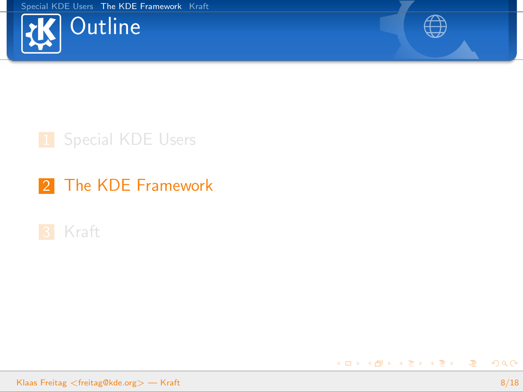



## 1 [Special KDE Users](#page-2-0)

## 2 [The KDE Framework](#page-7-0)



<span id="page-7-0"></span>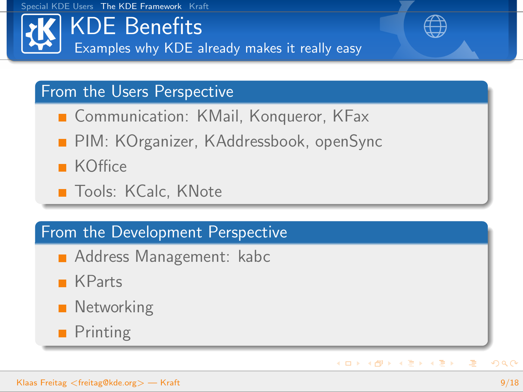# KDE Benefits Examples why KDE already makes it really easy

## From the Users Perspective

- Communication: KMail, Konqueror, KFax
- **PIM: KOrganizer, KAddressbook, openSync**
- **KOffice**
- **T**ools: KCalc, KNote

#### From the Development Perspective

- **Address Management: kabc**
- **KParts**
- **Networking**
- **Printing**

 $\equiv$ 

イロメ イ母メ イヨメ イヨメー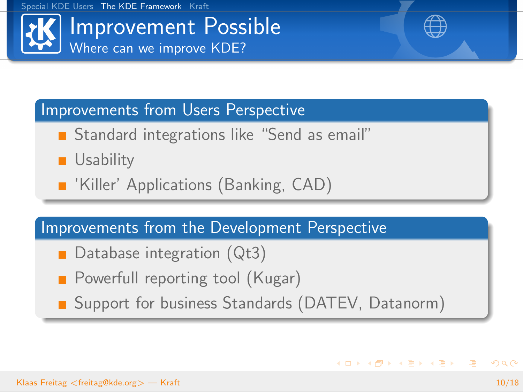

K ロ ▶ K @ ▶ K 홍 ▶ K 홍 ▶ 〈 홍

#### Improvements from Users Perspective

- **Standard integrations like "Send as email"**
- **Usability**
- **No. 18 Tema 18 Yangier 18 Yangier Propellisher** CAD)

#### Improvements from the Development Perspective

- Database integration (Qt3)
- **Powerfull reporting tool (Kugar)**
- Support for business Standards (DATEV, Datanorm)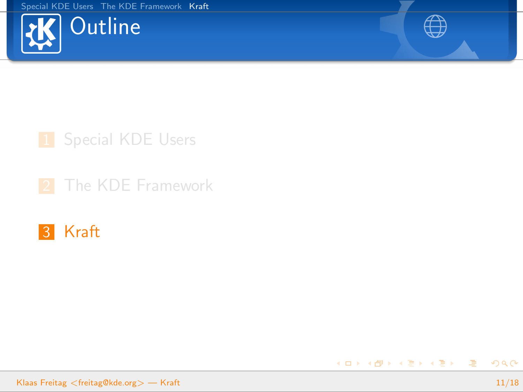



<span id="page-10-0"></span>K ロ ▶ K @ ▶ K 결 ▶ K 결 ▶ ○ 결

# 1 [Special KDE Users](#page-2-0)

2 [The KDE Framework](#page-7-0)

## 3 [Kraft](#page-10-0)

Klaas Freitag <freitag@kde.org> — [Kraft](#page-0-0) 11/18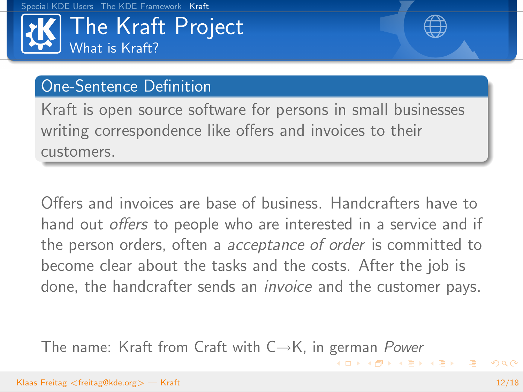



K ロ ▶ K 御 ▶ K 唐 ▶ K 唐 ▶ │ 唐

## One-Sentence Definition

Kraft is open source software for persons in small businesses writing correspondence like offers and invoices to their customers.

Offers and invoices are base of business. Handcrafters have to hand out *offers* to people who are interested in a service and if the person orders, often a acceptance of order is committed to become clear about the tasks and the costs. After the job is done, the handcrafter sends an *invoice* and the customer pays.

The name: Kraft from Craft with  $C \rightarrow K$ , in german Power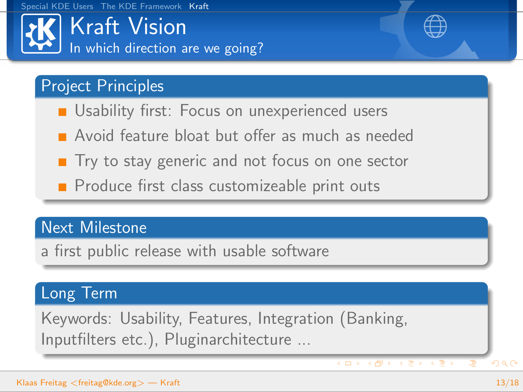Kraft Vision In which direction are we going?

## Project Principles

- **Usability first: Focus on unexperienced users**
- **Avoid feature bloat but offer as much as needed**
- $\blacksquare$  Try to stay generic and not focus on one sector
- Produce first class customizeable print outs

#### Next Milestone

a first public release with usable software

#### Long Term

Keywords: Usability, Features, Integration (Banking, Inputfilters etc.), Pluginarchitecture ...

 $($  ロ )  $($   $\oplus$   $)$   $($   $\oplus$   $)$   $($   $\oplus$   $)$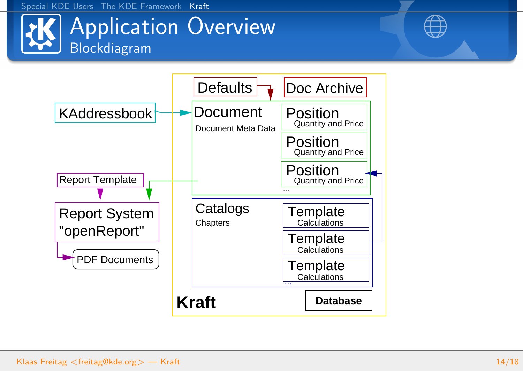

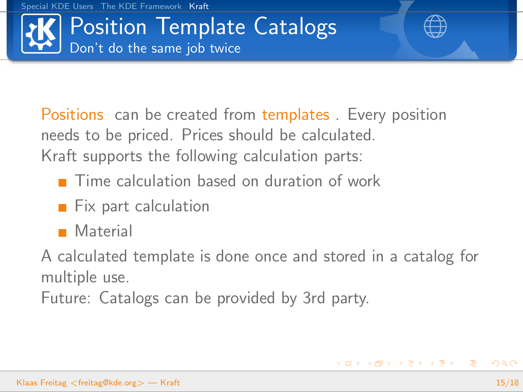

Positions can be created from templates . Every position needs to be priced. Prices should be calculated. Kraft supports the following calculation parts:

- Time calculation based on duration of work
- $\blacksquare$  Fix part calculation
- **Material**

A calculated template is done once and stored in a catalog for multiple use.

Future: Catalogs can be provided by 3rd party.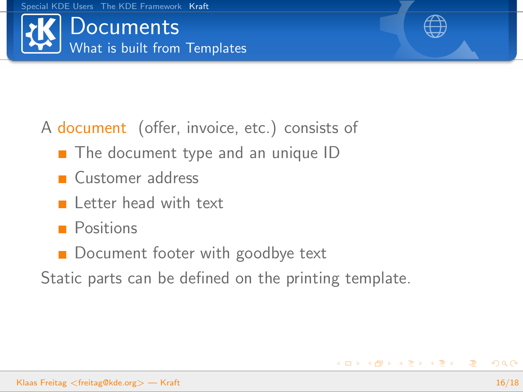



# A document (offer, invoice, etc.) consists of

- The document type and an unique ID
- **Customer address**
- $\blacksquare$  Letter head with text
- **Positions**
- **Document footer with goodbye text**
- Static parts can be defined on the printing template.

イロト イ部 トイをトイをトー 老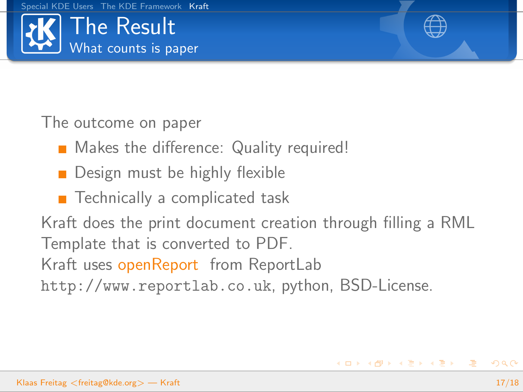



The outcome on paper

- **Makes the difference: Quality required!**
- **Design must be highly flexible**
- $\blacksquare$  Technically a complicated task

Kraft does the print document creation through filling a RML Template that is converted to PDF. Kraft uses openReport from ReportLab http://www.reportlab.co.uk, python, BSD-License.